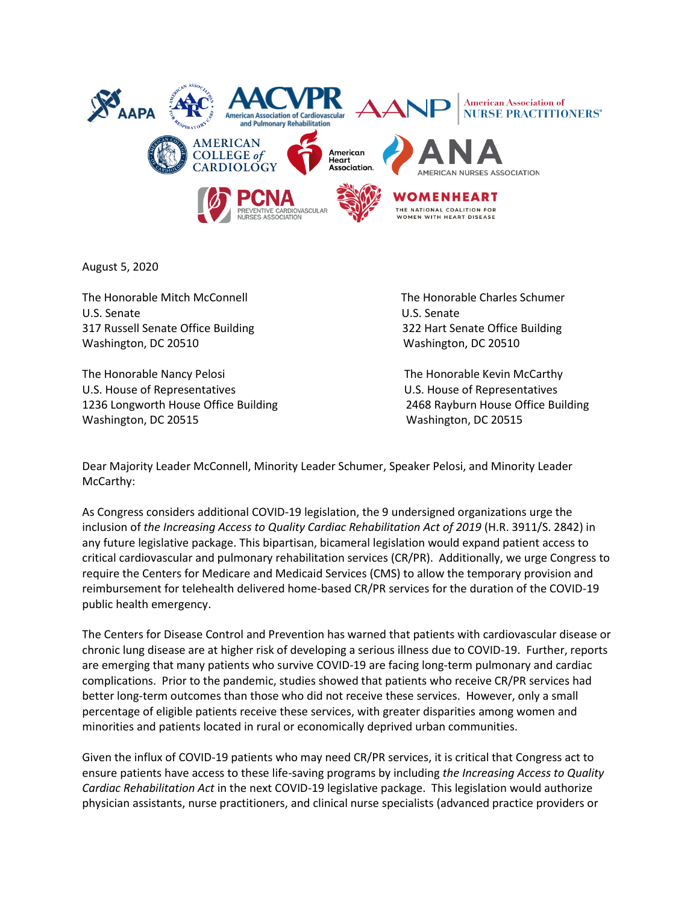

August 5, 2020

The Honorable Mitch McConnell The Honorable Charles Schumer U.S. Senate U.S. Senate 317 Russell Senate Office Building 322 Hart Senate Office Building Washington, DC 20510 Washington, DC 20510

The Honorable Nancy Pelosi **The Honorable Kevin McCarthy** U.S. House of Representatives U.S. House of Representatives 1236 Longworth House Office Building 2468 Rayburn House Office Building Washington, DC 20515 Washington, DC 20515

Dear Majority Leader McConnell, Minority Leader Schumer, Speaker Pelosi, and Minority Leader McCarthy:

As Congress considers additional COVID-19 legislation, the 9 undersigned organizations urge the inclusion of *the Increasing Access to Quality Cardiac Rehabilitation Act of 2019* (H.R. 3911/S. 2842) in any future legislative package. This bipartisan, bicameral legislation would expand patient access to critical cardiovascular and pulmonary rehabilitation services (CR/PR). Additionally, we urge Congress to require the Centers for Medicare and Medicaid Services (CMS) to allow the temporary provision and reimbursement for telehealth delivered home-based CR/PR services for the duration of the COVID-19 public health emergency.

The Centers for Disease Control and Prevention has warned that patients with cardiovascular disease or chronic lung disease are at higher risk of developing a serious illness due to COVID-19. Further, reports are emerging that many patients who survive COVID-19 are facing long-term pulmonary and cardiac complications. Prior to the pandemic, studies showed that patients who receive CR/PR services had better long-term outcomes than those who did not receive these services. However, only a small percentage of eligible patients receive these services, with greater disparities among women and minorities and patients located in rural or economically deprived urban communities.

Given the influx of COVID-19 patients who may need CR/PR services, it is critical that Congress act to ensure patients have access to these life-saving programs by including *the Increasing Access to Quality Cardiac Rehabilitation Act* in the next COVID-19 legislative package. This legislation would authorize physician assistants, nurse practitioners, and clinical nurse specialists (advanced practice providers or